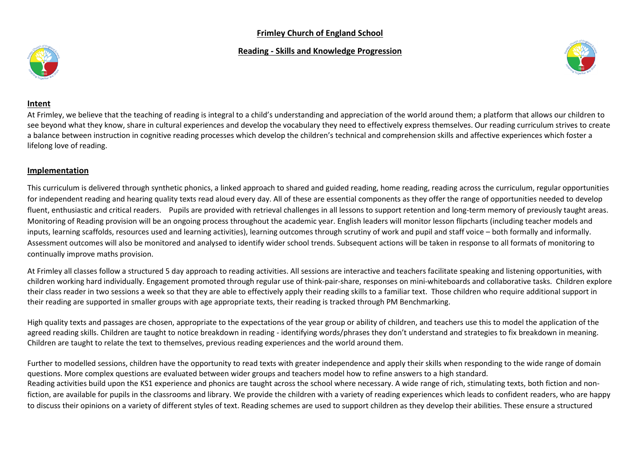# **Frimley Church of England School**

### **Reading - Skills and Knowledge Progression**





### **Intent**

At Frimley, we believe that the teaching of reading is integral to a child's understanding and appreciation of the world around them; a platform that allows our children to see beyond what they know, share in cultural experiences and develop the vocabulary they need to effectively express themselves. Our reading curriculum strives to create a balance between instruction in cognitive reading processes which develop the children's technical and comprehension skills and affective experiences which foster a lifelong love of reading.

## **Implementation**

This curriculum is delivered through synthetic phonics, a linked approach to shared and guided reading, home reading, reading across the curriculum, regular opportunities for independent reading and hearing quality texts read aloud every day. All of these are essential components as they offer the range of opportunities needed to develop fluent, enthusiastic and critical readers. Pupils are provided with retrieval challenges in all lessons to support retention and long-term memory of previously taught areas. Monitoring of Reading provision will be an ongoing process throughout the academic year. English leaders will monitor lesson flipcharts (including teacher models and inputs, learning scaffolds, resources used and learning activities), learning outcomes through scrutiny of work and pupil and staff voice – both formally and informally. Assessment outcomes will also be monitored and analysed to identify wider school trends. Subsequent actions will be taken in response to all formats of monitoring to continually improve maths provision.

At Frimley all classes follow a structured 5 day approach to reading activities. All sessions are interactive and teachers facilitate speaking and listening opportunities, with children working hard individually. Engagement promoted through regular use of think-pair-share, responses on mini-whiteboards and collaborative tasks. Children explore their class reader in two sessions a week so that they are able to effectively apply their reading skills to a familiar text. Those children who require additional support in their reading are supported in smaller groups with age appropriate texts, their reading is tracked through PM Benchmarking.

High quality texts and passages are chosen, appropriate to the expectations of the year group or ability of children, and teachers use this to model the application of the agreed reading skills. Children are taught to notice breakdown in reading - identifying words/phrases they don't understand and strategies to fix breakdown in meaning. Children are taught to relate the text to themselves, previous reading experiences and the world around them.

Further to modelled sessions, children have the opportunity to read texts with greater independence and apply their skills when responding to the wide range of domain questions. More complex questions are evaluated between wider groups and teachers model how to refine answers to a high standard. Reading activities build upon the KS1 experience and phonics are taught across the school where necessary. A wide range of rich, stimulating texts, both fiction and nonfiction, are available for pupils in the classrooms and library. We provide the children with a variety of reading experiences which leads to confident readers, who are happy to discuss their opinions on a variety of different styles of text. Reading schemes are used to support children as they develop their abilities. These ensure a structured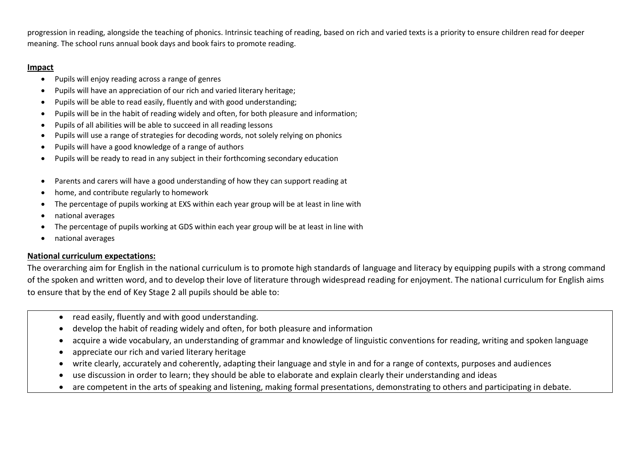progression in reading, alongside the teaching of phonics. Intrinsic teaching of reading, based on rich and varied texts is a priority to ensure children read for deeper meaning. The school runs annual book days and book fairs to promote reading.

# **Impact**

- Pupils will enjoy reading across a range of genres
- Pupils will have an appreciation of our rich and varied literary heritage;
- Pupils will be able to read easily, fluently and with good understanding;
- Pupils will be in the habit of reading widely and often, for both pleasure and information;
- Pupils of all abilities will be able to succeed in all reading lessons
- Pupils will use a range of strategies for decoding words, not solely relying on phonics
- Pupils will have a good knowledge of a range of authors
- Pupils will be ready to read in any subject in their forthcoming secondary education
- Parents and carers will have a good understanding of how they can support reading at
- home, and contribute regularly to homework
- The percentage of pupils working at EXS within each year group will be at least in line with
- national averages
- The percentage of pupils working at GDS within each year group will be at least in line with
- national averages

# **National curriculum expectations:**

The overarching aim for English in the national curriculum is to promote high standards of language and literacy by equipping pupils with a strong command of the spoken and written word, and to develop their love of literature through widespread reading for enjoyment. The national curriculum for English aims to ensure that by the end of Key Stage 2 all pupils should be able to:

- read easily, fluently and with good understanding.
- develop the habit of reading widely and often, for both pleasure and information
- acquire a wide vocabulary, an understanding of grammar and knowledge of linguistic conventions for reading, writing and spoken language
- appreciate our rich and varied literary heritage
- write clearly, accurately and coherently, adapting their language and style in and for a range of contexts, purposes and audiences
- use discussion in order to learn; they should be able to elaborate and explain clearly their understanding and ideas
- are competent in the arts of speaking and listening, making formal presentations, demonstrating to others and participating in debate.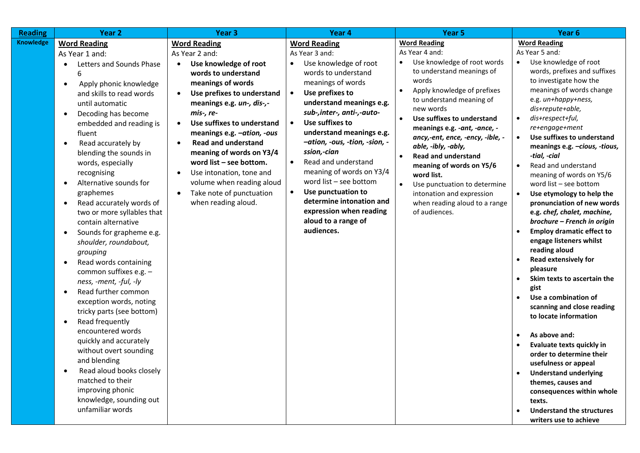| <b>Reading</b>   | Year <sub>2</sub>                                                                                                                                                                                                                                                                                                                                                                                                                                                                                                                                                                                                                                                                                                                                                                                                                                                                                                                                                                                                     | Year <sub>3</sub>                                                                                                                                                                                                                                                                                                                                                                                                                                                                                                             | Year 4                                                                                                                                                                                                                                                                                                                                                                                                                                                                                                                                                   | Year 5                                                                                                                                                                                                                                                                                                                                                                                                                                                                                                                                      | Year 6                                                                                                                                                                                                                                                                                                                                                                                                                                                                                                                                                                                                                                                                                                                                                                                                                                                                                                                                                                                                                                                                          |
|------------------|-----------------------------------------------------------------------------------------------------------------------------------------------------------------------------------------------------------------------------------------------------------------------------------------------------------------------------------------------------------------------------------------------------------------------------------------------------------------------------------------------------------------------------------------------------------------------------------------------------------------------------------------------------------------------------------------------------------------------------------------------------------------------------------------------------------------------------------------------------------------------------------------------------------------------------------------------------------------------------------------------------------------------|-------------------------------------------------------------------------------------------------------------------------------------------------------------------------------------------------------------------------------------------------------------------------------------------------------------------------------------------------------------------------------------------------------------------------------------------------------------------------------------------------------------------------------|----------------------------------------------------------------------------------------------------------------------------------------------------------------------------------------------------------------------------------------------------------------------------------------------------------------------------------------------------------------------------------------------------------------------------------------------------------------------------------------------------------------------------------------------------------|---------------------------------------------------------------------------------------------------------------------------------------------------------------------------------------------------------------------------------------------------------------------------------------------------------------------------------------------------------------------------------------------------------------------------------------------------------------------------------------------------------------------------------------------|---------------------------------------------------------------------------------------------------------------------------------------------------------------------------------------------------------------------------------------------------------------------------------------------------------------------------------------------------------------------------------------------------------------------------------------------------------------------------------------------------------------------------------------------------------------------------------------------------------------------------------------------------------------------------------------------------------------------------------------------------------------------------------------------------------------------------------------------------------------------------------------------------------------------------------------------------------------------------------------------------------------------------------------------------------------------------------|
| <b>Knowledge</b> | <b>Word Reading</b><br>As Year 1 and:<br>Letters and Sounds Phase<br>$\bullet$<br>6<br>Apply phonic knowledge<br>$\bullet$<br>and skills to read words<br>until automatic<br>Decoding has become<br>$\bullet$<br>embedded and reading is<br>fluent<br>Read accurately by<br>$\bullet$<br>blending the sounds in<br>words, especially<br>recognising<br>Alternative sounds for<br>$\bullet$<br>graphemes<br>Read accurately words of<br>$\bullet$<br>two or more syllables that<br>contain alternative<br>Sounds for grapheme e.g.<br>$\bullet$<br>shoulder, roundabout,<br>grouping<br>Read words containing<br>$\bullet$<br>common suffixes e.g. -<br>ness, -ment, -ful, -ly<br>Read further common<br>$\bullet$<br>exception words, noting<br>tricky parts (see bottom)<br>Read frequently<br>$\bullet$<br>encountered words<br>quickly and accurately<br>without overt sounding<br>and blending<br>Read aloud books closely<br>matched to their<br>improving phonic<br>knowledge, sounding out<br>unfamiliar words | <b>Word Reading</b><br>As Year 2 and:<br>Use knowledge of root<br>$\bullet$<br>words to understand<br>meanings of words<br>Use prefixes to understand<br>$\bullet$<br>meanings e.g. un-, dis-,-<br>mis-, re-<br>Use suffixes to understand<br>$\bullet$<br>meanings e.g. -ation, -ous<br><b>Read and understand</b><br>$\bullet$<br>meaning of words on Y3/4<br>word list - see bottom.<br>Use intonation, tone and<br>$\bullet$<br>volume when reading aloud<br>Take note of punctuation<br>$\bullet$<br>when reading aloud. | <b>Word Reading</b><br>As Year 3 and:<br>Use knowledge of root<br>$\bullet$<br>words to understand<br>meanings of words<br>Use prefixes to<br>$\bullet$<br>understand meanings e.g.<br>sub-, inter-, anti-,-auto-<br>Use suffixes to<br>$\bullet$<br>understand meanings e.g.<br>-ation, -ous, -tion, -sion, -<br>ssion,-cian<br>Read and understand<br>$\bullet$<br>meaning of words on Y3/4<br>word list $-$ see bottom<br>Use punctuation to<br>$\bullet$<br>determine intonation and<br>expression when reading<br>aloud to a range of<br>audiences. | <b>Word Reading</b><br>As Year 4 and:<br>Use knowledge of root words<br>to understand meanings of<br>words<br>Apply knowledge of prefixes<br>to understand meaning of<br>new words<br>Use suffixes to understand<br>$\bullet$<br>meanings e.g. - ant, - ance, -<br>ancy,-ent, ence, -ency, -ible, -<br>able, -ibly, -ably,<br><b>Read and understand</b><br>$\bullet$<br>meaning of words on Y5/6<br>word list.<br>Use punctuation to determine<br>$\bullet$<br>intonation and expression<br>when reading aloud to a range<br>of audiences. | <b>Word Reading</b><br>As Year 5 and:<br>Use knowledge of root<br>$\bullet$<br>words, prefixes and suffixes<br>to investigate how the<br>meanings of words change<br>e.g. un+happy+ness,<br>dis+repute+able,<br>dis+respect+ful,<br>re+engage+ment<br>Use suffixes to understand<br>$\bullet$<br>meanings e.g. -cious, -tious,<br>-tial, -cial<br>Read and understand<br>meaning of words on Y5/6<br>word list - see bottom<br>Use etymology to help the<br>$\bullet$<br>pronunciation of new words<br>e.g. chef, chalet, machine,<br>brochure - French in origin<br><b>Employ dramatic effect to</b><br>engage listeners whilst<br>reading aloud<br><b>Read extensively for</b><br>pleasure<br>Skim texts to ascertain the<br>gist<br>Use a combination of<br>scanning and close reading<br>to locate information<br>As above and:<br>Evaluate texts quickly in<br>order to determine their<br>usefulness or appeal<br><b>Understand underlying</b><br>themes, causes and<br>consequences within whole<br>texts.<br><b>Understand the structures</b><br>writers use to achieve |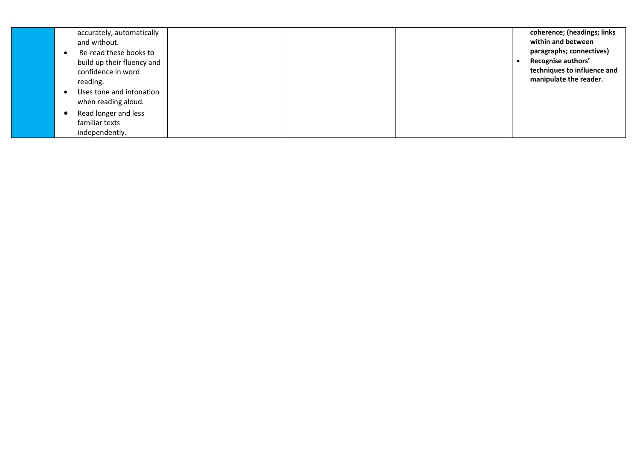| accurately, automatically<br>and without.<br>Re-read these books to<br>build up their fluency and<br>confidence in word<br>reading. | coherence; (headings; links<br>within and between<br>paragraphs; connectives)<br>Recognise authors'<br>techniques to influence and<br>manipulate the reader. |
|-------------------------------------------------------------------------------------------------------------------------------------|--------------------------------------------------------------------------------------------------------------------------------------------------------------|
| Uses tone and intonation<br>when reading aloud.                                                                                     |                                                                                                                                                              |
| Read longer and less<br>familiar texts<br>independently.                                                                            |                                                                                                                                                              |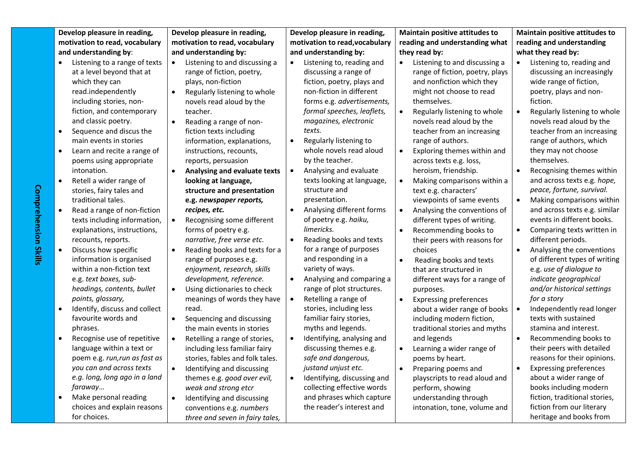| Develop pleasure in reading,<br>motivation to read, vocabulary | Develop pleasure in reading,<br>motivation to read, vocabulary | Develop pleasure in reading,<br>motivation to read, vocabulary | Maintain positive attitudes to<br>reading and understanding what | <b>Maintain positive attitudes to</b><br>reading and understanding |  |
|----------------------------------------------------------------|----------------------------------------------------------------|----------------------------------------------------------------|------------------------------------------------------------------|--------------------------------------------------------------------|--|
| and understanding by:                                          | and understanding by:                                          | and understanding by:                                          | they read by:                                                    | what they read by:                                                 |  |
| Listening to a range of texts                                  | Listening to and discussing a<br>$\bullet$                     | Listening to, reading and<br>$\bullet$                         | Listening to and discussing a                                    | Listening to, reading and<br>$\bullet$                             |  |
| at a level beyond that at                                      | range of fiction, poetry,                                      | discussing a range of                                          | range of fiction, poetry, plays                                  | discussing an increasingly                                         |  |
| which they can                                                 | plays, non-fiction                                             | fiction, poetry, plays and                                     | and nonfiction which they                                        | wide range of fiction,                                             |  |
| read.independently                                             | Regularly listening to whole                                   | non-fiction in different                                       | might not choose to read                                         | poetry, plays and non-                                             |  |
| including stories, non-                                        | novels read aloud by the                                       | forms e.g. advertisements,                                     | themselves.                                                      | fiction.                                                           |  |
| fiction, and contemporary                                      | teacher.                                                       | formal speeches, leaflets,                                     | Regularly listening to whole                                     | Regularly listening to whole                                       |  |
| and classic poetry.                                            | Reading a range of non-<br>$\bullet$                           | magazines, electronic                                          | novels read aloud by the                                         | novels read aloud by the                                           |  |
| Sequence and discus the<br>$\bullet$                           | fiction texts including                                        | texts.                                                         | teacher from an increasing                                       | teacher from an increasing                                         |  |
| main events in stories                                         | information, explanations,                                     | Regularly listening to                                         | range of authors.                                                | range of authors, which                                            |  |
| Learn and recite a range of<br>$\bullet$                       | instructions, recounts,                                        | whole novels read aloud                                        | Exploring themes within and                                      | they may not choose                                                |  |
| poems using appropriate                                        | reports, persuasion                                            | by the teacher.                                                | across texts e.g. loss,                                          | themselves.                                                        |  |
| intonation.                                                    | Analysing and evaluate texts                                   | Analysing and evaluate<br>$\bullet$                            | heroism, friendship.                                             | Recognising themes within                                          |  |
| Retell a wider range of<br>$\bullet$                           | looking at language,                                           | texts looking at language,                                     | Making comparisons within a                                      | and across texts e.g. hope,                                        |  |
| stories, fairy tales and                                       | structure and presentation                                     | structure and                                                  | text e.g. characters'                                            | peace, fortune, survival.                                          |  |
| traditional tales.                                             | e.g. newspaper reports,                                        | presentation.                                                  | viewpoints of same events                                        | Making comparisons within                                          |  |
| Read a range of non-fiction                                    | recipes, etc.                                                  | Analysing different forms                                      | Analysing the conventions of                                     | and across texts e.g. similar                                      |  |
| texts including information,                                   | Recognising some different                                     | of poetry e.g. haiku,                                          | different types of writing.                                      | events in different books.                                         |  |
| explanations, instructions,                                    | forms of poetry e.g.                                           | limericks.                                                     | Recommending books to                                            | Comparing texts written in                                         |  |
| recounts, reports.                                             | narrative, free verse etc.                                     | Reading books and texts                                        | their peers with reasons for                                     | different periods.                                                 |  |
| Discuss how specific<br>$\bullet$                              | Reading books and texts for a<br>$\bullet$                     | for a range of purposes<br>and responding in a                 | choices                                                          | Analysing the conventions<br>$\bullet$                             |  |
| information is organised<br>within a non-fiction text          | range of purposes e.g.<br>enjoyment, research, skills          | variety of ways.                                               | $\bullet$<br>Reading books and texts<br>that are structured in   | of different types of writing<br>e.g. use of dialogue to           |  |
| e.g. text boxes, sub-                                          | development, reference.                                        | Analysing and comparing a                                      | different ways for a range of                                    | indicate geographical                                              |  |
| headings, contents, bullet                                     | Using dictionaries to check                                    | range of plot structures.                                      | purposes.                                                        | and/or historical settings                                         |  |
| points, glossary,                                              | meanings of words they have                                    | Retelling a range of                                           | <b>Expressing preferences</b><br>$\bullet$                       | for a story                                                        |  |
| Identify, discuss and collect                                  | read.                                                          | stories, including less                                        | about a wider range of books                                     | Independently read longer                                          |  |
| favourite words and                                            | Sequencing and discussing<br>$\bullet$                         | familiar fairy stories,                                        | including modern fiction,                                        | texts with sustained                                               |  |
| phrases.                                                       | the main events in stories                                     | myths and legends.                                             | traditional stories and myths                                    | stamina and interest.                                              |  |
| Recognise use of repetitive<br>$\bullet$                       | Retelling a range of stories,                                  | Identifying, analysing and                                     | and legends                                                      | Recommending books to                                              |  |
| language within a text or                                      | including less familiar fairy                                  | discussing themes e.g.                                         | Learning a wider range of                                        | their peers with detailed                                          |  |
| poem e.g. run, run as fast as                                  | stories, fables and folk tales.                                | safe and dangerous,                                            | poems by heart.                                                  | reasons for their opinions.                                        |  |
| you can and across texts                                       | Identifying and discussing<br>$\bullet$                        | justand unjust etc.                                            | Preparing poems and<br>٠                                         | <b>Expressing preferences</b><br>$\bullet$                         |  |
| e.g. long, long ago in a land                                  | themes e.g. good over evil,                                    | Identifying, discussing and<br>$\bullet$                       | playscripts to read aloud and                                    | about a wider range of                                             |  |
| faraway                                                        | weak and strong etcr                                           | collecting effective words                                     | perform, showing                                                 | books including modern                                             |  |
| Make personal reading                                          | Identifying and discussing<br>$\bullet$                        | and phrases which capture                                      | understanding through                                            | fiction, traditional stories,                                      |  |
| choices and explain reasons                                    | conventions e.g. numbers                                       | the reader's interest and                                      | intonation, tone, volume and                                     | fiction from our literary                                          |  |
| for choices.                                                   | three and seven in fairy tales,                                |                                                                |                                                                  | heritage and books from                                            |  |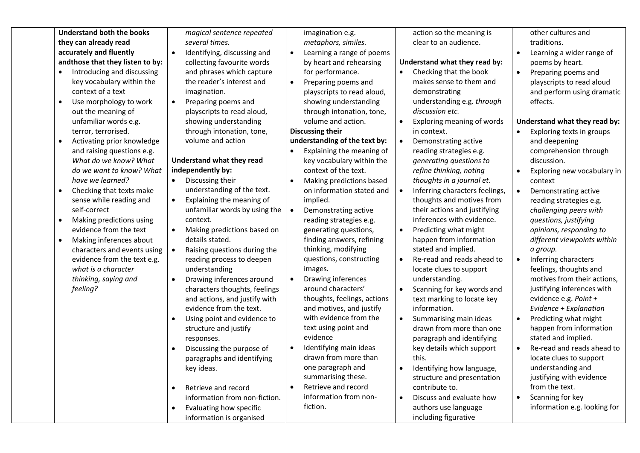| <b>Understand both the books</b><br>they can already read<br>accurately and fluently<br>andthose that they listen to by:<br>Introducing and discussing<br>$\bullet$<br>key vocabulary within the<br>context of a text<br>Use morphology to work<br>out the meaning of<br>unfamiliar words e.g.<br>terror, terrorised.<br>Activating prior knowledge<br>and raising questions e.g.<br>What do we know? What<br>do we want to know? What<br>have we learned?<br>Checking that texts make<br>$\bullet$<br>sense while reading and<br>self-correct<br>Making predictions using<br>$\bullet$<br>evidence from the text<br>Making inferences about<br>$\bullet$<br>characters and events using<br>evidence from the text e.g.<br>what is a character<br>thinking, saying and<br>feeling? | magical sentence repeated<br>several times.<br>Identifying, discussing and<br>$\bullet$<br>collecting favourite words<br>and phrases which capture<br>the reader's interest and<br>imagination.<br>Preparing poems and<br>$\bullet$<br>playscripts to read aloud,<br>showing understanding<br>through intonation, tone,<br>volume and action<br>Understand what they read<br>independently by:<br>Discussing their<br>$\bullet$<br>understanding of the text.<br>Explaining the meaning of<br>$\bullet$<br>unfamiliar words by using the<br>context.<br>Making predictions based on<br>$\bullet$<br>details stated.<br>$\bullet$<br>Raising questions during the<br>reading process to deepen<br>understanding<br>Drawing inferences around<br>$\bullet$<br>characters thoughts, feelings<br>and actions, and justify with<br>evidence from the text.<br>Using point and evidence to<br>structure and justify<br>responses.<br>Discussing the purpose of<br>paragraphs and identifying<br>key ideas. | imagination e.g.<br>metaphors, similes.<br>Learning a range of poems<br>$\bullet$<br>by heart and rehearsing<br>for performance.<br>Preparing poems and<br>$\bullet$<br>playscripts to read aloud,<br>showing understanding<br>through intonation, tone,<br>volume and action.<br><b>Discussing their</b><br>understanding of the text by:<br>Explaining the meaning of<br>$\bullet$<br>key vocabulary within the<br>context of the text.<br>Making predictions based<br>$\bullet$<br>on information stated and<br>implied.<br>Demonstrating active<br>reading strategies e.g.<br>generating questions,<br>finding answers, refining<br>thinking, modifying<br>questions, constructing<br>images.<br>Drawing inferences<br>around characters'<br>thoughts, feelings, actions<br>and motives, and justify<br>with evidence from the<br>text using point and<br>evidence<br>Identifying main ideas<br>drawn from more than<br>one paragraph and | action so the meaning is<br>clear to an audience.<br>Understand what they read by:<br>Checking that the book<br>makes sense to them and<br>demonstrating<br>understanding e.g. through<br>discussion etc.<br>Exploring meaning of words<br>$\bullet$<br>in context.<br>Demonstrating active<br>reading strategies e.g.<br>generating questions to<br>refine thinking, noting<br>thoughts in a journal et.<br>Inferring characters feelings,<br>thoughts and motives from<br>their actions and justifying<br>inferences with evidence.<br>Predicting what might<br>$\bullet$<br>happen from information<br>stated and implied.<br>Re-read and reads ahead to<br>$\bullet$<br>locate clues to support<br>understanding.<br>Scanning for key words and<br>text marking to locate key<br>information.<br>Summarising main ideas<br>drawn from more than one<br>paragraph and identifying<br>key details which support<br>this.<br>Identifying how language, | other cultures and<br>traditions.<br>Learning a wider range of<br>poems by heart.<br>Preparing poems and<br>playscripts to read aloud<br>and perform using dramatic<br>effects.<br>Understand what they read by:<br>Exploring texts in groups<br>and deepening<br>comprehension through<br>discussion.<br>Exploring new vocabulary in<br>context<br>Demonstrating active<br>reading strategies e.g.<br>challenging peers with<br>questions, justifying<br>opinions, responding to<br>different viewpoints within<br>a group.<br>Inferring characters<br>feelings, thoughts and<br>motives from their actions,<br>justifying inferences with<br>evidence e.g. Point +<br>Evidence + Explanation<br>Predicting what might<br>$\bullet$<br>happen from information<br>stated and implied.<br>Re-read and reads ahead to<br>locate clues to support<br>understanding and |
|------------------------------------------------------------------------------------------------------------------------------------------------------------------------------------------------------------------------------------------------------------------------------------------------------------------------------------------------------------------------------------------------------------------------------------------------------------------------------------------------------------------------------------------------------------------------------------------------------------------------------------------------------------------------------------------------------------------------------------------------------------------------------------|------------------------------------------------------------------------------------------------------------------------------------------------------------------------------------------------------------------------------------------------------------------------------------------------------------------------------------------------------------------------------------------------------------------------------------------------------------------------------------------------------------------------------------------------------------------------------------------------------------------------------------------------------------------------------------------------------------------------------------------------------------------------------------------------------------------------------------------------------------------------------------------------------------------------------------------------------------------------------------------------------|-----------------------------------------------------------------------------------------------------------------------------------------------------------------------------------------------------------------------------------------------------------------------------------------------------------------------------------------------------------------------------------------------------------------------------------------------------------------------------------------------------------------------------------------------------------------------------------------------------------------------------------------------------------------------------------------------------------------------------------------------------------------------------------------------------------------------------------------------------------------------------------------------------------------------------------------------|---------------------------------------------------------------------------------------------------------------------------------------------------------------------------------------------------------------------------------------------------------------------------------------------------------------------------------------------------------------------------------------------------------------------------------------------------------------------------------------------------------------------------------------------------------------------------------------------------------------------------------------------------------------------------------------------------------------------------------------------------------------------------------------------------------------------------------------------------------------------------------------------------------------------------------------------------------|----------------------------------------------------------------------------------------------------------------------------------------------------------------------------------------------------------------------------------------------------------------------------------------------------------------------------------------------------------------------------------------------------------------------------------------------------------------------------------------------------------------------------------------------------------------------------------------------------------------------------------------------------------------------------------------------------------------------------------------------------------------------------------------------------------------------------------------------------------------------|
|                                                                                                                                                                                                                                                                                                                                                                                                                                                                                                                                                                                                                                                                                                                                                                                    | Retrieve and record<br>$\bullet$                                                                                                                                                                                                                                                                                                                                                                                                                                                                                                                                                                                                                                                                                                                                                                                                                                                                                                                                                                     | summarising these.<br>Retrieve and record<br>$\bullet$                                                                                                                                                                                                                                                                                                                                                                                                                                                                                                                                                                                                                                                                                                                                                                                                                                                                                        | structure and presentation<br>contribute to.                                                                                                                                                                                                                                                                                                                                                                                                                                                                                                                                                                                                                                                                                                                                                                                                                                                                                                            | justifying with evidence<br>from the text.                                                                                                                                                                                                                                                                                                                                                                                                                                                                                                                                                                                                                                                                                                                                                                                                                           |
|                                                                                                                                                                                                                                                                                                                                                                                                                                                                                                                                                                                                                                                                                                                                                                                    | information from non-fiction.<br>Evaluating how specific<br>$\bullet$<br>information is organised                                                                                                                                                                                                                                                                                                                                                                                                                                                                                                                                                                                                                                                                                                                                                                                                                                                                                                    | information from non-<br>fiction.                                                                                                                                                                                                                                                                                                                                                                                                                                                                                                                                                                                                                                                                                                                                                                                                                                                                                                             | Discuss and evaluate how<br>authors use language<br>including figurative                                                                                                                                                                                                                                                                                                                                                                                                                                                                                                                                                                                                                                                                                                                                                                                                                                                                                | Scanning for key<br>information e.g. looking for                                                                                                                                                                                                                                                                                                                                                                                                                                                                                                                                                                                                                                                                                                                                                                                                                     |